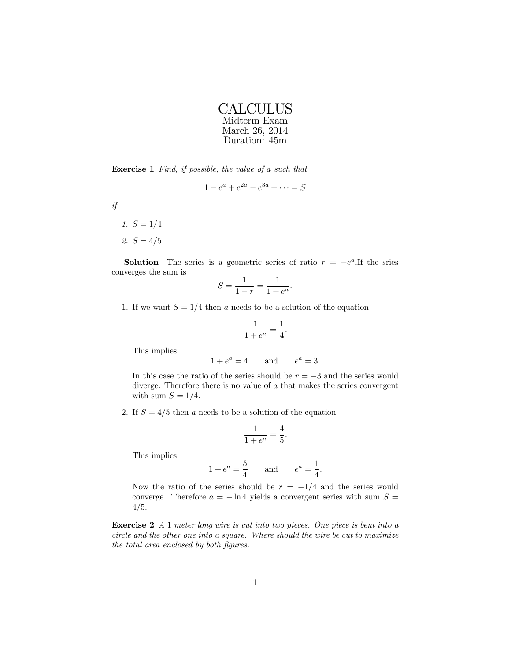| <b>CALCULUS</b> |
|-----------------|
| Midterm Exam    |
| March 26, 2014  |
| Duration: 45m   |

Exercise 1 Find, if possible, the value of a such that

$$
1 - e^a + e^{2a} - e^{3a} + \dots = S
$$

if

1. 
$$
S = 1/4
$$
  
2.  $S = 4/5$ 

**Solution** The series is a geometric series of ratio  $r = -e^a$ . If the sries converges the sum is

$$
S = \frac{1}{1 - r} = \frac{1}{1 + e^a}.
$$

1. If we want  $S = 1/4$  then a needs to be a solution of the equation

$$
\frac{1}{1+e^a} = \frac{1}{4}.
$$

This implies

$$
1 + e^a = 4 \qquad \text{and} \qquad e^a = 3.
$$

In this case the ratio of the series should be  $r = -3$  and the series would diverge. Therefore there is no value of a that makes the series convergent with sum  $S = 1/4$ .

2. If  $S = 4/5$  then a needs to be a solution of the equation

$$
\frac{1}{1+e^a} = \frac{4}{5}.
$$

This implies

$$
1 + e^a = \frac{5}{4}
$$
 and  $e^a = \frac{1}{4}$ .

Now the ratio of the series should be  $r = -1/4$  and the series would converge. Therefore  $a = -\ln 4$  yields a convergent series with sum  $S =$ 4/5.

Exercise 2 A 1 meter long wire is cut into two pieces. One piece is bent into a circle and the other one into a square. Where should the wire be cut to maximize the total area enclosed by both figures.